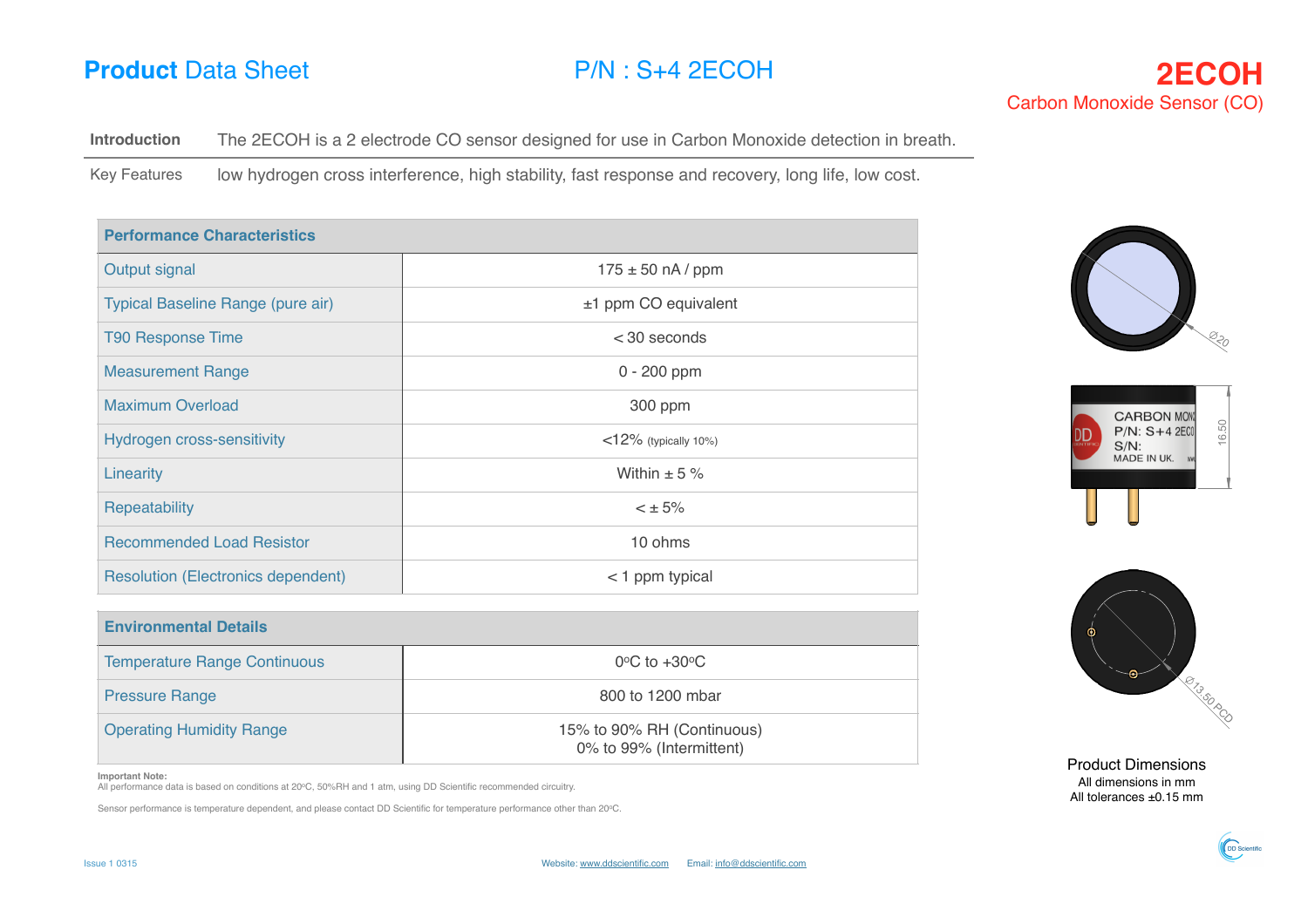## **Product** Data Sheet **P/N** : S<sub>+4</sub> 2ECOH

Introduction The 2ECOH is a 2 electrode CO sensor designed for use in Carbon Monoxide detection in breath.

Key Features low hydrogen cross interference, high stability, fast response and recovery, long life, low cost.

| <b>Performance Characteristics</b>        |                         |  |
|-------------------------------------------|-------------------------|--|
| Output signal                             | $175 \pm 50$ nA / ppm   |  |
| Typical Baseline Range (pure air)         | ±1 ppm CO equivalent    |  |
| <b>T90 Response Time</b>                  | $<$ 30 seconds          |  |
| <b>Measurement Range</b>                  | $0 - 200$ ppm           |  |
| <b>Maximum Overload</b>                   | 300 ppm                 |  |
| Hydrogen cross-sensitivity                | $<$ 12% (typically 10%) |  |
| Linearity                                 | Within $\pm$ 5 %        |  |
| Repeatability                             | $< \pm 5\%$             |  |
| <b>Recommended Load Resistor</b>          | 10 ohms                 |  |
| <b>Resolution (Electronics dependent)</b> | $<$ 1 ppm typical       |  |

| <b>Environmental Details</b>        |                                                        |  |  |
|-------------------------------------|--------------------------------------------------------|--|--|
| <b>Temperature Range Continuous</b> | $0^{\circ}$ C to $+30^{\circ}$ C                       |  |  |
| <b>Pressure Range</b>               | 800 to 1200 mbar                                       |  |  |
| <b>Operating Humidity Range</b>     | 15% to 90% RH (Continuous)<br>0% to 99% (Intermittent) |  |  |

**Important Note:**

All performance data is based on conditions at 20oC, 50%RH and 1 atm, using DD Scientific recommended circuitry.

Sensor performance is temperature dependent, and please contact DD Scientific for temperature performance other than 20oC.





Product Dimensions All dimensions in mm All tolerances ±0.15 mm